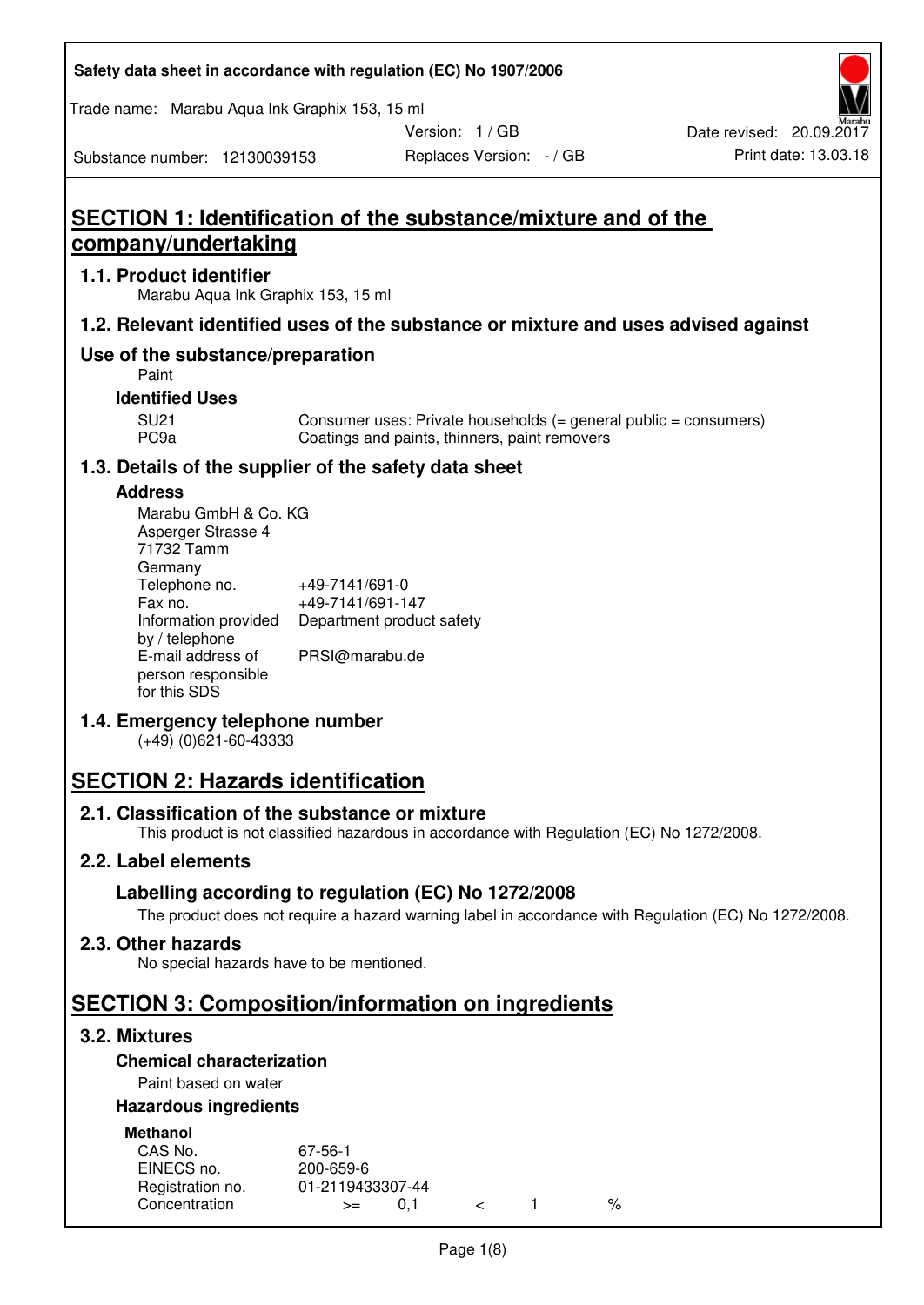### **Safety data sheet in accordance with regulation (EC) No 1907/2006**

Trade name: Marabu Aqua Ink Graphix 153, 15 ml

Version: 1 / GB

Replaces Version: - / GB Print date: 13.03.18 Date revised: 20.09.2017

Substance number: 12130039153

# **SECTION 1: Identification of the substance/mixture and of the company/undertaking**

### **1.1. Product identifier**

Marabu Aqua Ink Graphix 153, 15 ml

### **1.2. Relevant identified uses of the substance or mixture and uses advised against**

# **Use of the substance/preparation**

Paint

## **Identified Uses**

SU21 Consumer uses: Private households (= general public = consumers)<br>PC9a Coatings and paints, thinners, paint removers Coatings and paints, thinners, paint removers

## **1.3. Details of the supplier of the safety data sheet**

### **Address**

| Marabu GmbH & Co. KG |                           |
|----------------------|---------------------------|
| Asperger Strasse 4   |                           |
| 71732 Tamm           |                           |
| Germany              |                           |
| Telephone no.        | +49-7141/691-0            |
| Fax no.              | +49-7141/691-147          |
| Information provided | Department product safety |
| by / telephone       |                           |
| E-mail address of    | PRSI@marabu.de            |
| person responsible   |                           |
| for this SDS         |                           |

## **1.4. Emergency telephone number**

(+49) (0)621-60-43333

# **SECTION 2: Hazards identification**

### **2.1. Classification of the substance or mixture**

This product is not classified hazardous in accordance with Regulation (EC) No 1272/2008.

## **2.2. Label elements**

## **Labelling according to regulation (EC) No 1272/2008**

The product does not require a hazard warning label in accordance with Regulation (EC) No 1272/2008.

### **2.3. Other hazards**

No special hazards have to be mentioned.

# **SECTION 3: Composition/information on ingredients**

## **3.2. Mixtures**

## **Chemical characterization**

## Paint based on water

### **Hazardous ingredients**

| <b>Methanol</b>  |                  |  |   |
|------------------|------------------|--|---|
| CAS No.          | 67-56-1          |  |   |
| EINECS no.       | 200-659-6        |  |   |
| Registration no. | 01-2119433307-44 |  |   |
| Concentration    | $>=$             |  | % |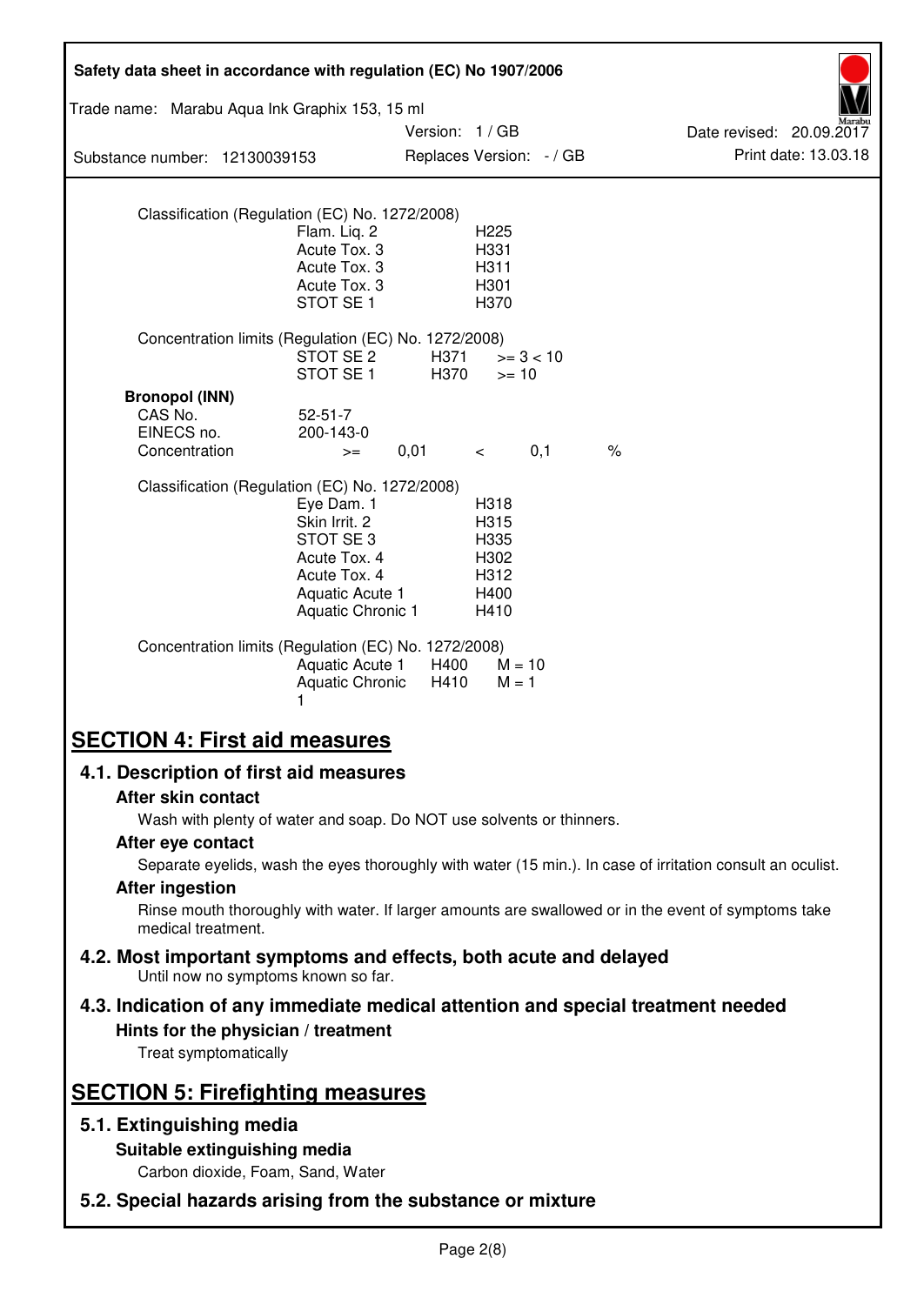| Trade name: Marabu Aqua Ink Graphix 153, 15 ml<br>Version: 1/GB<br>Date revised: 20.09.2017<br>Print date: 13.03.18<br>Replaces Version: - / GB<br>Substance number: 12130039153<br>Classification (Regulation (EC) No. 1272/2008)<br>Flam. Liq. 2<br>H <sub>225</sub><br>Acute Tox. 3<br>H331<br>Acute Tox. 3<br>H311<br>Acute Tox. 3<br>H301<br>STOT SE <sub>1</sub><br>H370<br>Concentration limits (Regulation (EC) No. 1272/2008)<br>STOT SE 2<br>H371<br>$>= 3 < 10$<br>STOT SE <sub>1</sub><br>H370<br>$>= 10$<br><b>Bronopol (INN)</b><br>CAS No.<br>$52 - 51 - 7$<br>EINECS no.<br>200-143-0<br>0,1<br>$\frac{1}{6}$<br>Concentration<br>0,01<br>$>=$<br>$\lt$<br>Classification (Regulation (EC) No. 1272/2008)<br>Eye Dam. 1<br>H318<br>Skin Irrit. 2<br>H315<br>STOT SE3<br>H335<br>Acute Tox. 4<br>H302<br>Acute Tox. 4<br>H312<br>H400<br>Aquatic Acute 1<br>Aquatic Chronic 1<br>H410<br>Concentration limits (Regulation (EC) No. 1272/2008)<br>Aquatic Acute 1<br>$M = 10$<br>H400<br>H410<br>Aquatic Chronic<br>$M = 1$<br>1<br><b>SECTION 4: First aid measures</b><br>4.1. Description of first aid measures<br>After skin contact<br>Wash with plenty of water and soap. Do NOT use solvents or thinners.<br>After eye contact<br>Separate eyelids, wash the eyes thoroughly with water (15 min.). In case of irritation consult an oculist.<br><b>After ingestion</b><br>Rinse mouth thoroughly with water. If larger amounts are swallowed or in the event of symptoms take<br>medical treatment.<br>4.2. Most important symptoms and effects, both acute and delayed<br>Until now no symptoms known so far.<br>4.3. Indication of any immediate medical attention and special treatment needed<br>Hints for the physician / treatment<br>Treat symptomatically<br><b>SECTION 5: Firefighting measures</b><br>5.1. Extinguishing media<br>Suitable extinguishing media<br>Carbon dioxide, Foam, Sand, Water<br>5.2. Special hazards arising from the substance or mixture | Safety data sheet in accordance with regulation (EC) No 1907/2006 |  |  |  |  |  |
|--------------------------------------------------------------------------------------------------------------------------------------------------------------------------------------------------------------------------------------------------------------------------------------------------------------------------------------------------------------------------------------------------------------------------------------------------------------------------------------------------------------------------------------------------------------------------------------------------------------------------------------------------------------------------------------------------------------------------------------------------------------------------------------------------------------------------------------------------------------------------------------------------------------------------------------------------------------------------------------------------------------------------------------------------------------------------------------------------------------------------------------------------------------------------------------------------------------------------------------------------------------------------------------------------------------------------------------------------------------------------------------------------------------------------------------------------------------------------------------------------------------------------------------------------------------------------------------------------------------------------------------------------------------------------------------------------------------------------------------------------------------------------------------------------------------------------------------------------------------------------------------------------------------------------------------------------------------------------------------------------|-------------------------------------------------------------------|--|--|--|--|--|
|                                                                                                                                                                                                                                                                                                                                                                                                                                                                                                                                                                                                                                                                                                                                                                                                                                                                                                                                                                                                                                                                                                                                                                                                                                                                                                                                                                                                                                                                                                                                                                                                                                                                                                                                                                                                                                                                                                                                                                                                  |                                                                   |  |  |  |  |  |
|                                                                                                                                                                                                                                                                                                                                                                                                                                                                                                                                                                                                                                                                                                                                                                                                                                                                                                                                                                                                                                                                                                                                                                                                                                                                                                                                                                                                                                                                                                                                                                                                                                                                                                                                                                                                                                                                                                                                                                                                  |                                                                   |  |  |  |  |  |
|                                                                                                                                                                                                                                                                                                                                                                                                                                                                                                                                                                                                                                                                                                                                                                                                                                                                                                                                                                                                                                                                                                                                                                                                                                                                                                                                                                                                                                                                                                                                                                                                                                                                                                                                                                                                                                                                                                                                                                                                  |                                                                   |  |  |  |  |  |
|                                                                                                                                                                                                                                                                                                                                                                                                                                                                                                                                                                                                                                                                                                                                                                                                                                                                                                                                                                                                                                                                                                                                                                                                                                                                                                                                                                                                                                                                                                                                                                                                                                                                                                                                                                                                                                                                                                                                                                                                  |                                                                   |  |  |  |  |  |
|                                                                                                                                                                                                                                                                                                                                                                                                                                                                                                                                                                                                                                                                                                                                                                                                                                                                                                                                                                                                                                                                                                                                                                                                                                                                                                                                                                                                                                                                                                                                                                                                                                                                                                                                                                                                                                                                                                                                                                                                  |                                                                   |  |  |  |  |  |
|                                                                                                                                                                                                                                                                                                                                                                                                                                                                                                                                                                                                                                                                                                                                                                                                                                                                                                                                                                                                                                                                                                                                                                                                                                                                                                                                                                                                                                                                                                                                                                                                                                                                                                                                                                                                                                                                                                                                                                                                  |                                                                   |  |  |  |  |  |
|                                                                                                                                                                                                                                                                                                                                                                                                                                                                                                                                                                                                                                                                                                                                                                                                                                                                                                                                                                                                                                                                                                                                                                                                                                                                                                                                                                                                                                                                                                                                                                                                                                                                                                                                                                                                                                                                                                                                                                                                  |                                                                   |  |  |  |  |  |
|                                                                                                                                                                                                                                                                                                                                                                                                                                                                                                                                                                                                                                                                                                                                                                                                                                                                                                                                                                                                                                                                                                                                                                                                                                                                                                                                                                                                                                                                                                                                                                                                                                                                                                                                                                                                                                                                                                                                                                                                  |                                                                   |  |  |  |  |  |
|                                                                                                                                                                                                                                                                                                                                                                                                                                                                                                                                                                                                                                                                                                                                                                                                                                                                                                                                                                                                                                                                                                                                                                                                                                                                                                                                                                                                                                                                                                                                                                                                                                                                                                                                                                                                                                                                                                                                                                                                  |                                                                   |  |  |  |  |  |
|                                                                                                                                                                                                                                                                                                                                                                                                                                                                                                                                                                                                                                                                                                                                                                                                                                                                                                                                                                                                                                                                                                                                                                                                                                                                                                                                                                                                                                                                                                                                                                                                                                                                                                                                                                                                                                                                                                                                                                                                  |                                                                   |  |  |  |  |  |
|                                                                                                                                                                                                                                                                                                                                                                                                                                                                                                                                                                                                                                                                                                                                                                                                                                                                                                                                                                                                                                                                                                                                                                                                                                                                                                                                                                                                                                                                                                                                                                                                                                                                                                                                                                                                                                                                                                                                                                                                  |                                                                   |  |  |  |  |  |
|                                                                                                                                                                                                                                                                                                                                                                                                                                                                                                                                                                                                                                                                                                                                                                                                                                                                                                                                                                                                                                                                                                                                                                                                                                                                                                                                                                                                                                                                                                                                                                                                                                                                                                                                                                                                                                                                                                                                                                                                  |                                                                   |  |  |  |  |  |
|                                                                                                                                                                                                                                                                                                                                                                                                                                                                                                                                                                                                                                                                                                                                                                                                                                                                                                                                                                                                                                                                                                                                                                                                                                                                                                                                                                                                                                                                                                                                                                                                                                                                                                                                                                                                                                                                                                                                                                                                  |                                                                   |  |  |  |  |  |
|                                                                                                                                                                                                                                                                                                                                                                                                                                                                                                                                                                                                                                                                                                                                                                                                                                                                                                                                                                                                                                                                                                                                                                                                                                                                                                                                                                                                                                                                                                                                                                                                                                                                                                                                                                                                                                                                                                                                                                                                  |                                                                   |  |  |  |  |  |
|                                                                                                                                                                                                                                                                                                                                                                                                                                                                                                                                                                                                                                                                                                                                                                                                                                                                                                                                                                                                                                                                                                                                                                                                                                                                                                                                                                                                                                                                                                                                                                                                                                                                                                                                                                                                                                                                                                                                                                                                  |                                                                   |  |  |  |  |  |
|                                                                                                                                                                                                                                                                                                                                                                                                                                                                                                                                                                                                                                                                                                                                                                                                                                                                                                                                                                                                                                                                                                                                                                                                                                                                                                                                                                                                                                                                                                                                                                                                                                                                                                                                                                                                                                                                                                                                                                                                  |                                                                   |  |  |  |  |  |
|                                                                                                                                                                                                                                                                                                                                                                                                                                                                                                                                                                                                                                                                                                                                                                                                                                                                                                                                                                                                                                                                                                                                                                                                                                                                                                                                                                                                                                                                                                                                                                                                                                                                                                                                                                                                                                                                                                                                                                                                  |                                                                   |  |  |  |  |  |
|                                                                                                                                                                                                                                                                                                                                                                                                                                                                                                                                                                                                                                                                                                                                                                                                                                                                                                                                                                                                                                                                                                                                                                                                                                                                                                                                                                                                                                                                                                                                                                                                                                                                                                                                                                                                                                                                                                                                                                                                  |                                                                   |  |  |  |  |  |
|                                                                                                                                                                                                                                                                                                                                                                                                                                                                                                                                                                                                                                                                                                                                                                                                                                                                                                                                                                                                                                                                                                                                                                                                                                                                                                                                                                                                                                                                                                                                                                                                                                                                                                                                                                                                                                                                                                                                                                                                  |                                                                   |  |  |  |  |  |
|                                                                                                                                                                                                                                                                                                                                                                                                                                                                                                                                                                                                                                                                                                                                                                                                                                                                                                                                                                                                                                                                                                                                                                                                                                                                                                                                                                                                                                                                                                                                                                                                                                                                                                                                                                                                                                                                                                                                                                                                  |                                                                   |  |  |  |  |  |
|                                                                                                                                                                                                                                                                                                                                                                                                                                                                                                                                                                                                                                                                                                                                                                                                                                                                                                                                                                                                                                                                                                                                                                                                                                                                                                                                                                                                                                                                                                                                                                                                                                                                                                                                                                                                                                                                                                                                                                                                  |                                                                   |  |  |  |  |  |
|                                                                                                                                                                                                                                                                                                                                                                                                                                                                                                                                                                                                                                                                                                                                                                                                                                                                                                                                                                                                                                                                                                                                                                                                                                                                                                                                                                                                                                                                                                                                                                                                                                                                                                                                                                                                                                                                                                                                                                                                  |                                                                   |  |  |  |  |  |
|                                                                                                                                                                                                                                                                                                                                                                                                                                                                                                                                                                                                                                                                                                                                                                                                                                                                                                                                                                                                                                                                                                                                                                                                                                                                                                                                                                                                                                                                                                                                                                                                                                                                                                                                                                                                                                                                                                                                                                                                  |                                                                   |  |  |  |  |  |
|                                                                                                                                                                                                                                                                                                                                                                                                                                                                                                                                                                                                                                                                                                                                                                                                                                                                                                                                                                                                                                                                                                                                                                                                                                                                                                                                                                                                                                                                                                                                                                                                                                                                                                                                                                                                                                                                                                                                                                                                  |                                                                   |  |  |  |  |  |
|                                                                                                                                                                                                                                                                                                                                                                                                                                                                                                                                                                                                                                                                                                                                                                                                                                                                                                                                                                                                                                                                                                                                                                                                                                                                                                                                                                                                                                                                                                                                                                                                                                                                                                                                                                                                                                                                                                                                                                                                  |                                                                   |  |  |  |  |  |
|                                                                                                                                                                                                                                                                                                                                                                                                                                                                                                                                                                                                                                                                                                                                                                                                                                                                                                                                                                                                                                                                                                                                                                                                                                                                                                                                                                                                                                                                                                                                                                                                                                                                                                                                                                                                                                                                                                                                                                                                  |                                                                   |  |  |  |  |  |
|                                                                                                                                                                                                                                                                                                                                                                                                                                                                                                                                                                                                                                                                                                                                                                                                                                                                                                                                                                                                                                                                                                                                                                                                                                                                                                                                                                                                                                                                                                                                                                                                                                                                                                                                                                                                                                                                                                                                                                                                  |                                                                   |  |  |  |  |  |
|                                                                                                                                                                                                                                                                                                                                                                                                                                                                                                                                                                                                                                                                                                                                                                                                                                                                                                                                                                                                                                                                                                                                                                                                                                                                                                                                                                                                                                                                                                                                                                                                                                                                                                                                                                                                                                                                                                                                                                                                  |                                                                   |  |  |  |  |  |
|                                                                                                                                                                                                                                                                                                                                                                                                                                                                                                                                                                                                                                                                                                                                                                                                                                                                                                                                                                                                                                                                                                                                                                                                                                                                                                                                                                                                                                                                                                                                                                                                                                                                                                                                                                                                                                                                                                                                                                                                  |                                                                   |  |  |  |  |  |
|                                                                                                                                                                                                                                                                                                                                                                                                                                                                                                                                                                                                                                                                                                                                                                                                                                                                                                                                                                                                                                                                                                                                                                                                                                                                                                                                                                                                                                                                                                                                                                                                                                                                                                                                                                                                                                                                                                                                                                                                  |                                                                   |  |  |  |  |  |
|                                                                                                                                                                                                                                                                                                                                                                                                                                                                                                                                                                                                                                                                                                                                                                                                                                                                                                                                                                                                                                                                                                                                                                                                                                                                                                                                                                                                                                                                                                                                                                                                                                                                                                                                                                                                                                                                                                                                                                                                  |                                                                   |  |  |  |  |  |
|                                                                                                                                                                                                                                                                                                                                                                                                                                                                                                                                                                                                                                                                                                                                                                                                                                                                                                                                                                                                                                                                                                                                                                                                                                                                                                                                                                                                                                                                                                                                                                                                                                                                                                                                                                                                                                                                                                                                                                                                  |                                                                   |  |  |  |  |  |
|                                                                                                                                                                                                                                                                                                                                                                                                                                                                                                                                                                                                                                                                                                                                                                                                                                                                                                                                                                                                                                                                                                                                                                                                                                                                                                                                                                                                                                                                                                                                                                                                                                                                                                                                                                                                                                                                                                                                                                                                  |                                                                   |  |  |  |  |  |
|                                                                                                                                                                                                                                                                                                                                                                                                                                                                                                                                                                                                                                                                                                                                                                                                                                                                                                                                                                                                                                                                                                                                                                                                                                                                                                                                                                                                                                                                                                                                                                                                                                                                                                                                                                                                                                                                                                                                                                                                  |                                                                   |  |  |  |  |  |
|                                                                                                                                                                                                                                                                                                                                                                                                                                                                                                                                                                                                                                                                                                                                                                                                                                                                                                                                                                                                                                                                                                                                                                                                                                                                                                                                                                                                                                                                                                                                                                                                                                                                                                                                                                                                                                                                                                                                                                                                  |                                                                   |  |  |  |  |  |
|                                                                                                                                                                                                                                                                                                                                                                                                                                                                                                                                                                                                                                                                                                                                                                                                                                                                                                                                                                                                                                                                                                                                                                                                                                                                                                                                                                                                                                                                                                                                                                                                                                                                                                                                                                                                                                                                                                                                                                                                  |                                                                   |  |  |  |  |  |
|                                                                                                                                                                                                                                                                                                                                                                                                                                                                                                                                                                                                                                                                                                                                                                                                                                                                                                                                                                                                                                                                                                                                                                                                                                                                                                                                                                                                                                                                                                                                                                                                                                                                                                                                                                                                                                                                                                                                                                                                  |                                                                   |  |  |  |  |  |
|                                                                                                                                                                                                                                                                                                                                                                                                                                                                                                                                                                                                                                                                                                                                                                                                                                                                                                                                                                                                                                                                                                                                                                                                                                                                                                                                                                                                                                                                                                                                                                                                                                                                                                                                                                                                                                                                                                                                                                                                  |                                                                   |  |  |  |  |  |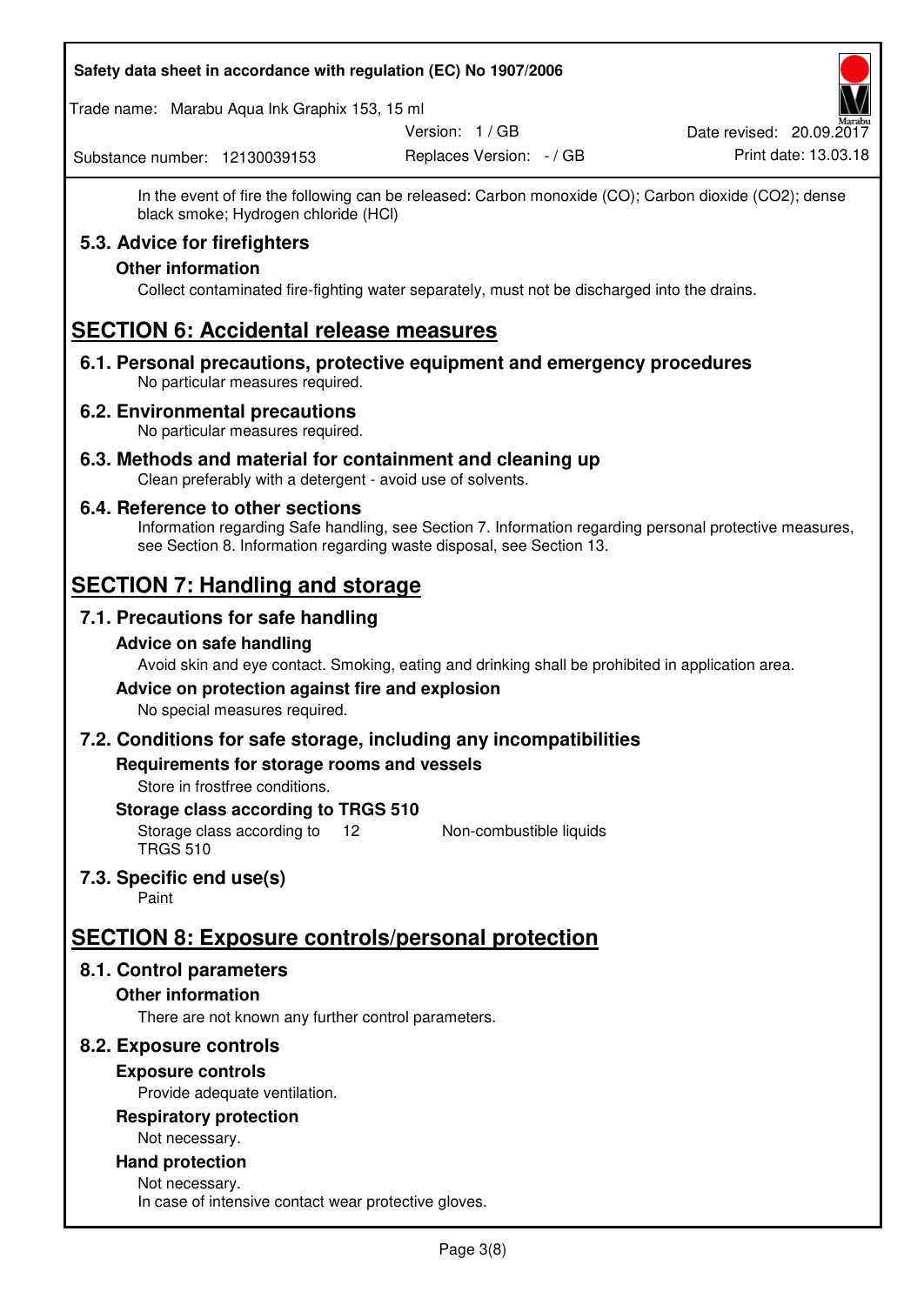### **Safety data sheet in accordance with regulation (EC) No 1907/2006**

Trade name: Marabu Aqua Ink Graphix 153, 15 ml

Version: 1 / GB

Replaces Version: - / GB Print date: 13.03.18 Date revised: 20.09.2017

Substance number: 12130039153

In the event of fire the following can be released: Carbon monoxide (CO); Carbon dioxide (CO2); dense black smoke; Hydrogen chloride (HCl)

# **5.3. Advice for firefighters**

### **Other information**

Collect contaminated fire-fighting water separately, must not be discharged into the drains.

# **SECTION 6: Accidental release measures**

**6.1. Personal precautions, protective equipment and emergency procedures**  No particular measures required.

### **6.2. Environmental precautions**

No particular measures required.

**6.3. Methods and material for containment and cleaning up**  Clean preferably with a detergent - avoid use of solvents.

### **6.4. Reference to other sections**

Information regarding Safe handling, see Section 7. Information regarding personal protective measures, see Section 8. Information regarding waste disposal, see Section 13.

# **SECTION 7: Handling and storage**

## **7.1. Precautions for safe handling**

#### **Advice on safe handling**

Avoid skin and eye contact. Smoking, eating and drinking shall be prohibited in application area.

# **Advice on protection against fire and explosion**

No special measures required.

### **7.2. Conditions for safe storage, including any incompatibilities**

**Requirements for storage rooms and vessels** 

Store in frostfree conditions.

### **Storage class according to TRGS 510**

Storage class according to 12 TRGS 510 Non-combustible liquids

## **7.3. Specific end use(s)**

Paint

# **SECTION 8: Exposure controls/personal protection**

# **8.1. Control parameters**

# **Other information**

There are not known any further control parameters.

# **8.2. Exposure controls**

# **Exposure controls**

Provide adequate ventilation.

# **Respiratory protection**

Not necessary.

#### **Hand protection**  Not necessary.

In case of intensive contact wear protective gloves.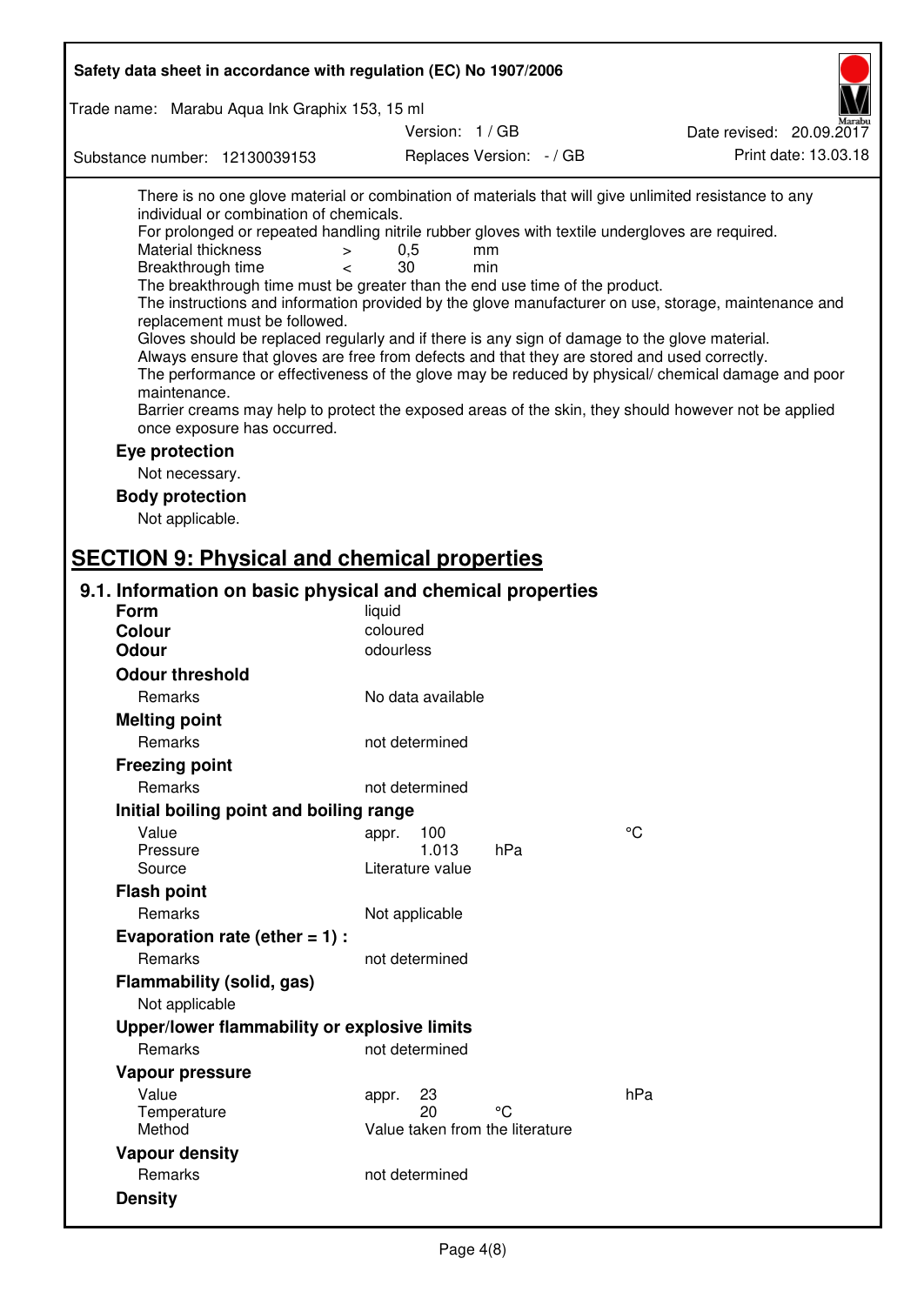| Safety data sheet in accordance with regulation (EC) No 1907/2006                                                                                                                                                                                                                                                                                                                                                                                                                                                                                                                                                                                                                                                                                                                                                                                                                             |                                                      |                          |                                                                                                                                                                                                            |
|-----------------------------------------------------------------------------------------------------------------------------------------------------------------------------------------------------------------------------------------------------------------------------------------------------------------------------------------------------------------------------------------------------------------------------------------------------------------------------------------------------------------------------------------------------------------------------------------------------------------------------------------------------------------------------------------------------------------------------------------------------------------------------------------------------------------------------------------------------------------------------------------------|------------------------------------------------------|--------------------------|------------------------------------------------------------------------------------------------------------------------------------------------------------------------------------------------------------|
| Trade name: Marabu Aqua Ink Graphix 153, 15 ml                                                                                                                                                                                                                                                                                                                                                                                                                                                                                                                                                                                                                                                                                                                                                                                                                                                | Version: 1/GB                                        |                          |                                                                                                                                                                                                            |
| Substance number: 12130039153                                                                                                                                                                                                                                                                                                                                                                                                                                                                                                                                                                                                                                                                                                                                                                                                                                                                 |                                                      | Replaces Version: - / GB | Date revised: 20.09.2017<br>Print date: 13.03.18                                                                                                                                                           |
| There is no one glove material or combination of materials that will give unlimited resistance to any<br>individual or combination of chemicals.<br>For prolonged or repeated handling nitrile rubber gloves with textile undergloves are required.<br>Material thickness<br>$\geq$<br>Breakthrough time<br>$\overline{\phantom{a}}$<br>The breakthrough time must be greater than the end use time of the product.<br>replacement must be followed.<br>Gloves should be replaced regularly and if there is any sign of damage to the glove material.<br>Always ensure that gloves are free from defects and that they are stored and used correctly.<br>maintenance.<br>Barrier creams may help to protect the exposed areas of the skin, they should however not be applied<br>once exposure has occurred.<br>Eye protection<br>Not necessary.<br><b>Body protection</b><br>Not applicable. | 0,5<br>30                                            | mm<br>min                | The instructions and information provided by the glove manufacturer on use, storage, maintenance and<br>The performance or effectiveness of the glove may be reduced by physical/ chemical damage and poor |
| <b>SECTION 9: Physical and chemical properties</b>                                                                                                                                                                                                                                                                                                                                                                                                                                                                                                                                                                                                                                                                                                                                                                                                                                            |                                                      |                          |                                                                                                                                                                                                            |
| 9.1. Information on basic physical and chemical properties<br><b>Form</b><br><b>Colour</b><br><b>Odour</b>                                                                                                                                                                                                                                                                                                                                                                                                                                                                                                                                                                                                                                                                                                                                                                                    | liquid<br>coloured<br>odourless                      |                          |                                                                                                                                                                                                            |
| <b>Odour threshold</b><br>Remarks<br><b>Melting point</b>                                                                                                                                                                                                                                                                                                                                                                                                                                                                                                                                                                                                                                                                                                                                                                                                                                     | No data available                                    |                          |                                                                                                                                                                                                            |
| Remarks<br><b>Freezing point</b><br>Remarks                                                                                                                                                                                                                                                                                                                                                                                                                                                                                                                                                                                                                                                                                                                                                                                                                                                   | not determined<br>not determined                     |                          |                                                                                                                                                                                                            |
| Initial boiling point and boiling range                                                                                                                                                                                                                                                                                                                                                                                                                                                                                                                                                                                                                                                                                                                                                                                                                                                       |                                                      |                          |                                                                                                                                                                                                            |
| Value<br>Pressure<br>Source                                                                                                                                                                                                                                                                                                                                                                                                                                                                                                                                                                                                                                                                                                                                                                                                                                                                   | 100<br>appr.<br>1.013<br>Literature value            | hPa                      | °C                                                                                                                                                                                                         |
| <b>Flash point</b><br>Remarks<br>Evaporation rate (ether $= 1$ ) :                                                                                                                                                                                                                                                                                                                                                                                                                                                                                                                                                                                                                                                                                                                                                                                                                            | Not applicable                                       |                          |                                                                                                                                                                                                            |
| Remarks<br><b>Flammability (solid, gas)</b><br>Not applicable                                                                                                                                                                                                                                                                                                                                                                                                                                                                                                                                                                                                                                                                                                                                                                                                                                 | not determined                                       |                          |                                                                                                                                                                                                            |
| Upper/lower flammability or explosive limits<br>Remarks                                                                                                                                                                                                                                                                                                                                                                                                                                                                                                                                                                                                                                                                                                                                                                                                                                       | not determined                                       |                          |                                                                                                                                                                                                            |
| Vapour pressure<br>Value<br>Temperature<br>Method                                                                                                                                                                                                                                                                                                                                                                                                                                                                                                                                                                                                                                                                                                                                                                                                                                             | 23<br>appr.<br>20<br>Value taken from the literature | °C                       | hPa                                                                                                                                                                                                        |
| <b>Vapour density</b><br>Remarks<br><b>Density</b>                                                                                                                                                                                                                                                                                                                                                                                                                                                                                                                                                                                                                                                                                                                                                                                                                                            | not determined                                       |                          |                                                                                                                                                                                                            |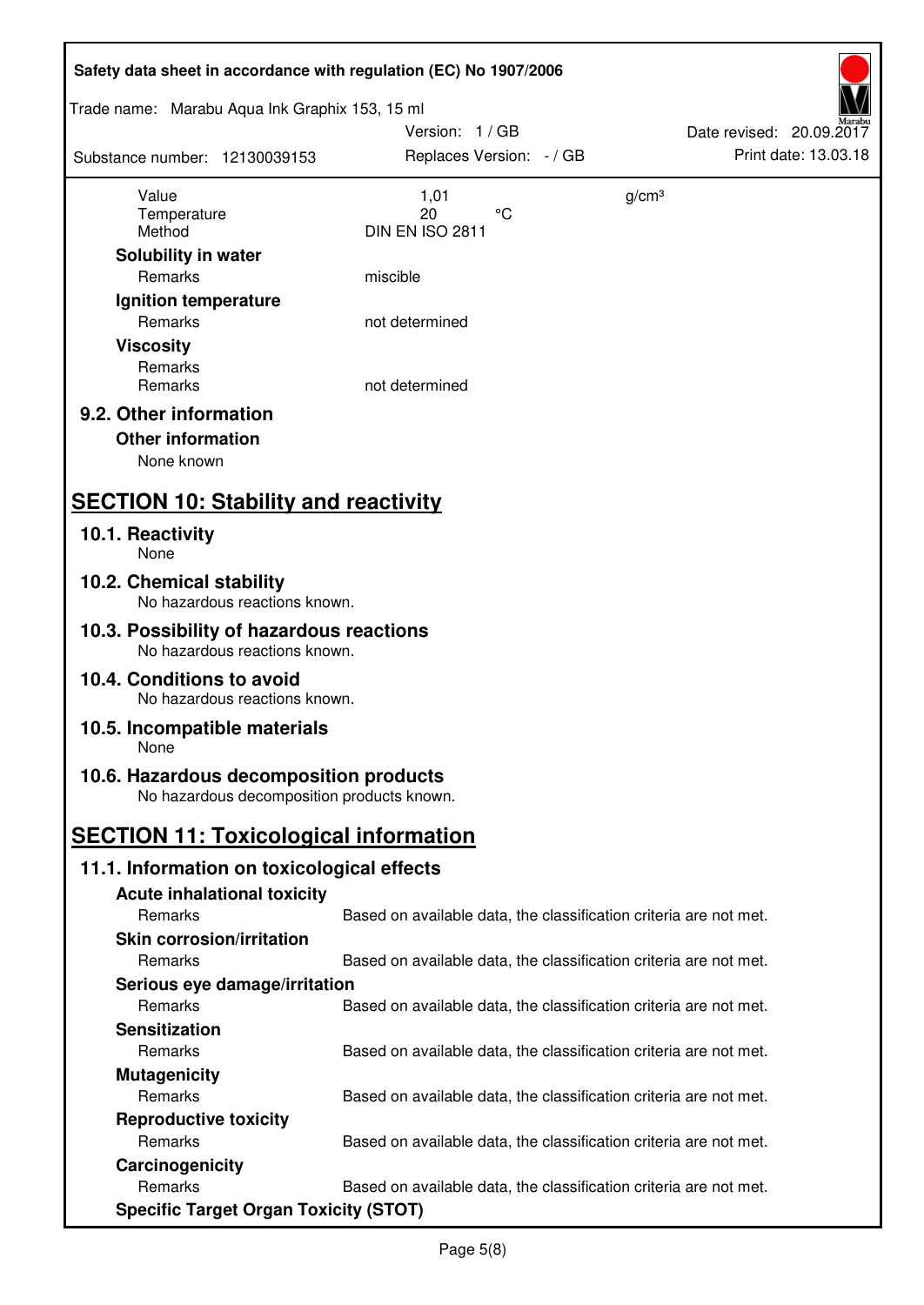| Safety data sheet in accordance with regulation (EC) No 1907/2006         |                                                                   |                          |
|---------------------------------------------------------------------------|-------------------------------------------------------------------|--------------------------|
| Trade name: Marabu Aqua Ink Graphix 153, 15 ml                            |                                                                   |                          |
|                                                                           | Version: 1 / GB                                                   | Date revised: 20.09.2017 |
| Substance number: 12130039153                                             | Replaces Version: - / GB                                          | Print date: 13.03.18     |
| Value                                                                     | 1,01                                                              | g/cm <sup>3</sup>        |
| Temperature                                                               | 20<br>°C                                                          |                          |
| Method                                                                    | DIN EN ISO 2811                                                   |                          |
| Solubility in water                                                       |                                                                   |                          |
| Remarks                                                                   | miscible                                                          |                          |
| Ignition temperature                                                      |                                                                   |                          |
| Remarks                                                                   | not determined                                                    |                          |
| <b>Viscosity</b>                                                          |                                                                   |                          |
| Remarks                                                                   |                                                                   |                          |
| Remarks                                                                   | not determined                                                    |                          |
| 9.2. Other information                                                    |                                                                   |                          |
| <b>Other information</b>                                                  |                                                                   |                          |
| None known                                                                |                                                                   |                          |
|                                                                           |                                                                   |                          |
| <b>SECTION 10: Stability and reactivity</b>                               |                                                                   |                          |
|                                                                           |                                                                   |                          |
| 10.1. Reactivity<br>None                                                  |                                                                   |                          |
| 10.2. Chemical stability<br>No hazardous reactions known.                 |                                                                   |                          |
| 10.3. Possibility of hazardous reactions<br>No hazardous reactions known. |                                                                   |                          |
| 10.4. Conditions to avoid<br>No hazardous reactions known.                |                                                                   |                          |
| 10.5. Incompatible materials<br>None                                      |                                                                   |                          |
| 10.6. Hazardous decomposition products                                    |                                                                   |                          |
| No hazardous decomposition products known.                                |                                                                   |                          |
| <b>SECTION 11: Toxicological information</b>                              |                                                                   |                          |
| 11.1. Information on toxicological effects                                |                                                                   |                          |
| <b>Acute inhalational toxicity</b>                                        |                                                                   |                          |
| Remarks                                                                   | Based on available data, the classification criteria are not met. |                          |
| <b>Skin corrosion/irritation</b>                                          |                                                                   |                          |
| Remarks                                                                   | Based on available data, the classification criteria are not met. |                          |
|                                                                           |                                                                   |                          |
| Serious eye damage/irritation<br>Remarks                                  |                                                                   |                          |
|                                                                           | Based on available data, the classification criteria are not met. |                          |
| <b>Sensitization</b>                                                      |                                                                   |                          |
| Remarks                                                                   | Based on available data, the classification criteria are not met. |                          |
| <b>Mutagenicity</b>                                                       |                                                                   |                          |
| Remarks                                                                   | Based on available data, the classification criteria are not met. |                          |
| <b>Reproductive toxicity</b>                                              |                                                                   |                          |
| Remarks                                                                   | Based on available data, the classification criteria are not met. |                          |
| Carcinogenicity                                                           |                                                                   |                          |
| Remarks                                                                   | Based on available data, the classification criteria are not met. |                          |
| <b>Specific Target Organ Toxicity (STOT)</b>                              |                                                                   |                          |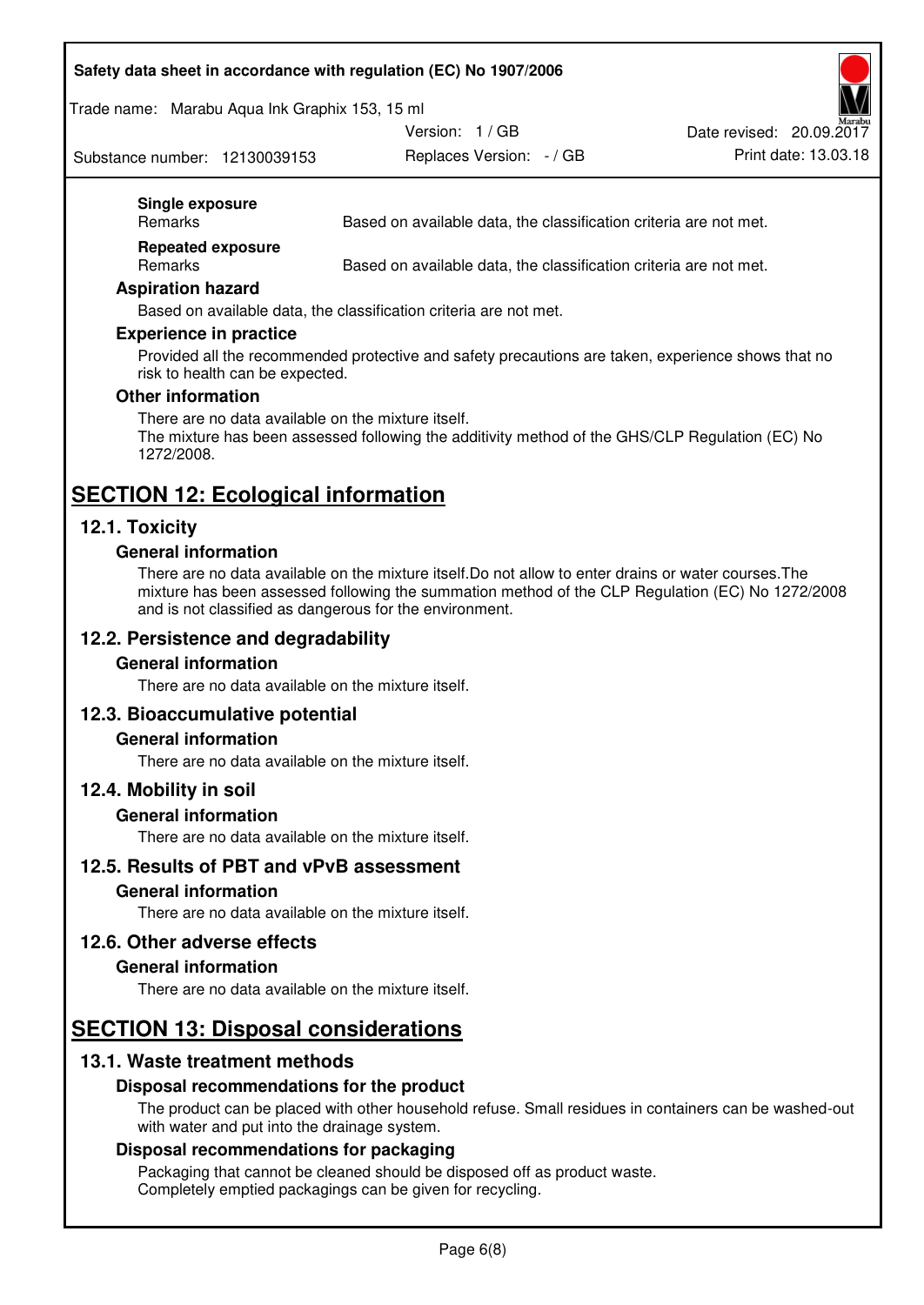### **Safety data sheet in accordance with regulation (EC) No 1907/2006**

Trade name: Marabu Aqua Ink Graphix 153, 15 ml

Date revised: 20.09.2017

Substance number: 12130039153

Replaces Version:  $-$  / GB Print date: 13.03.18

Version: 1 / GB

### **Single exposure**

Remarks Based on available data, the classification criteria are not met.

**Repeated exposure** 

Remarks Based on available data, the classification criteria are not met.

### **Aspiration hazard**

Based on available data, the classification criteria are not met.

#### **Experience in practice**

Provided all the recommended protective and safety precautions are taken, experience shows that no risk to health can be expected.

#### **Other information**

There are no data available on the mixture itself. The mixture has been assessed following the additivity method of the GHS/CLP Regulation (EC) No 1272/2008.

# **SECTION 12: Ecological information**

### **12.1. Toxicity**

### **General information**

There are no data available on the mixture itself.Do not allow to enter drains or water courses.The mixture has been assessed following the summation method of the CLP Regulation (EC) No 1272/2008 and is not classified as dangerous for the environment.

### **12.2. Persistence and degradability**

### **General information**

There are no data available on the mixture itself.

### **12.3. Bioaccumulative potential**

### **General information**

There are no data available on the mixture itself.

### **12.4. Mobility in soil**

### **General information**

There are no data available on the mixture itself.

### **12.5. Results of PBT and vPvB assessment**

### **General information**

There are no data available on the mixture itself.

### **12.6. Other adverse effects**

### **General information**

There are no data available on the mixture itself.

# **SECTION 13: Disposal considerations**

### **13.1. Waste treatment methods**

### **Disposal recommendations for the product**

The product can be placed with other household refuse. Small residues in containers can be washed-out with water and put into the drainage system.

### **Disposal recommendations for packaging**

Packaging that cannot be cleaned should be disposed off as product waste. Completely emptied packagings can be given for recycling.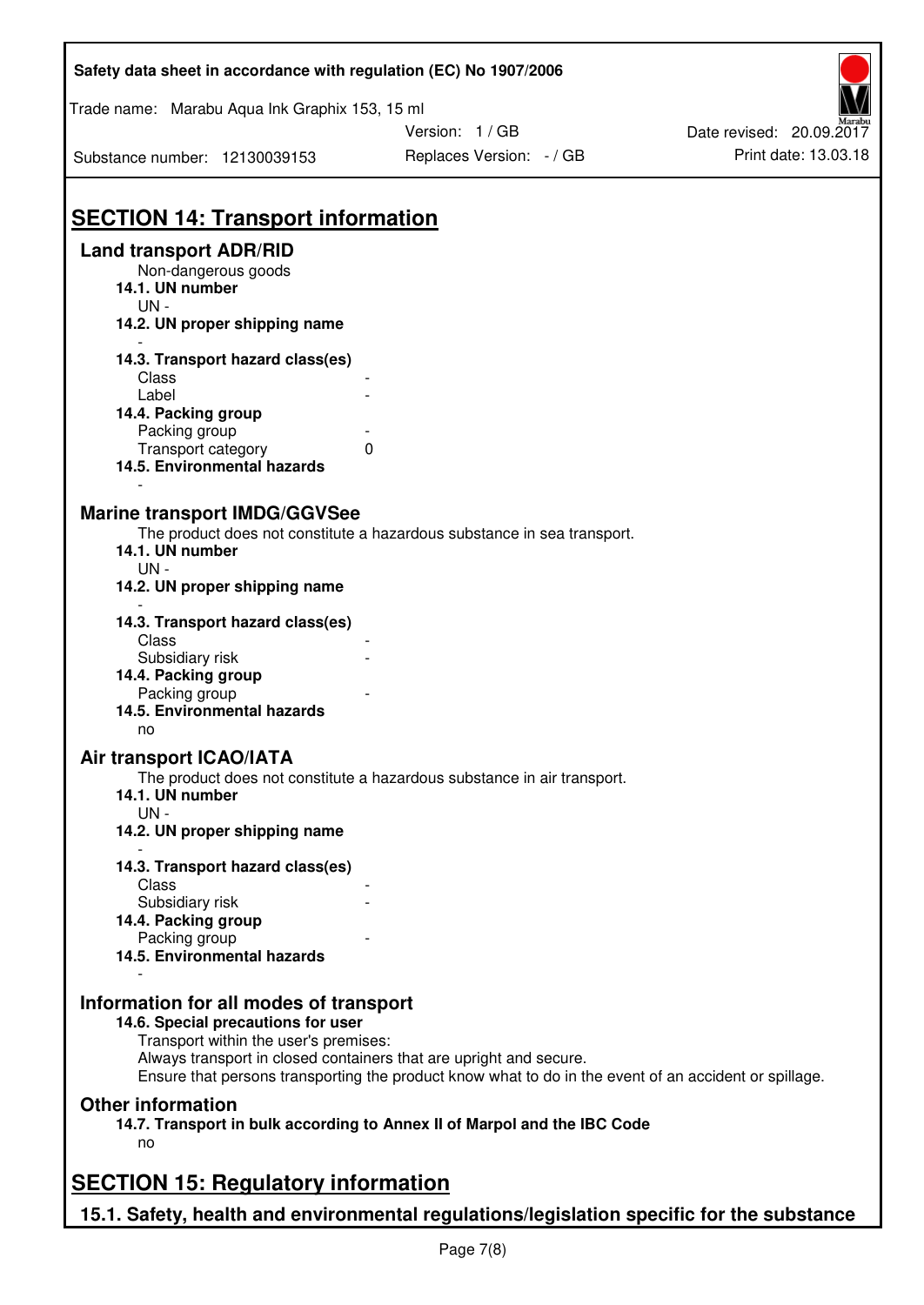| Safety data sheet in accordance with regulation (EC) No 1907/2006 |                                                                                                                                                                             |                          |
|-------------------------------------------------------------------|-----------------------------------------------------------------------------------------------------------------------------------------------------------------------------|--------------------------|
| Trade name: Marabu Aqua Ink Graphix 153, 15 ml                    |                                                                                                                                                                             |                          |
|                                                                   | Version: 1/GB                                                                                                                                                               | Date revised: 20.09.2017 |
| Substance number: 12130039153                                     | Replaces Version: - / GB                                                                                                                                                    | Print date: 13.03.18     |
| <b>SECTION 14: Transport information</b>                          |                                                                                                                                                                             |                          |
| <b>Land transport ADR/RID</b>                                     |                                                                                                                                                                             |                          |
| Non-dangerous goods                                               |                                                                                                                                                                             |                          |
| 14.1. UN number                                                   |                                                                                                                                                                             |                          |
| $UN -$<br>14.2. UN proper shipping name                           |                                                                                                                                                                             |                          |
| 14.3. Transport hazard class(es)                                  |                                                                                                                                                                             |                          |
| Class                                                             |                                                                                                                                                                             |                          |
| Label                                                             |                                                                                                                                                                             |                          |
| 14.4. Packing group<br>Packing group                              |                                                                                                                                                                             |                          |
| Transport category                                                | $\mathbf{0}$                                                                                                                                                                |                          |
| 14.5. Environmental hazards                                       |                                                                                                                                                                             |                          |
|                                                                   |                                                                                                                                                                             |                          |
| <b>Marine transport IMDG/GGVSee</b>                               |                                                                                                                                                                             |                          |
|                                                                   | The product does not constitute a hazardous substance in sea transport.                                                                                                     |                          |
| 14.1. UN number<br>$UN -$                                         |                                                                                                                                                                             |                          |
| 14.2. UN proper shipping name                                     |                                                                                                                                                                             |                          |
| 14.3. Transport hazard class(es)<br>Class                         |                                                                                                                                                                             |                          |
| Subsidiary risk                                                   |                                                                                                                                                                             |                          |
| 14.4. Packing group                                               |                                                                                                                                                                             |                          |
| Packing group                                                     |                                                                                                                                                                             |                          |
| 14.5. Environmental hazards                                       |                                                                                                                                                                             |                          |
| no                                                                |                                                                                                                                                                             |                          |
| Air transport ICAO/IATA                                           |                                                                                                                                                                             |                          |
| 14.1. UN number                                                   | The product does not constitute a hazardous substance in air transport.                                                                                                     |                          |
| $UN -$                                                            |                                                                                                                                                                             |                          |
| 14.2. UN proper shipping name                                     |                                                                                                                                                                             |                          |
| 14.3. Transport hazard class(es)                                  |                                                                                                                                                                             |                          |
| Class                                                             |                                                                                                                                                                             |                          |
| Subsidiary risk                                                   |                                                                                                                                                                             |                          |
| 14.4. Packing group<br>Packing group                              |                                                                                                                                                                             |                          |
| 14.5. Environmental hazards                                       |                                                                                                                                                                             |                          |
|                                                                   |                                                                                                                                                                             |                          |
| Information for all modes of transport                            |                                                                                                                                                                             |                          |
| 14.6. Special precautions for user                                |                                                                                                                                                                             |                          |
| Transport within the user's premises:                             |                                                                                                                                                                             |                          |
|                                                                   | Always transport in closed containers that are upright and secure.<br>Ensure that persons transporting the product know what to do in the event of an accident or spillage. |                          |
| <b>Other information</b>                                          |                                                                                                                                                                             |                          |
|                                                                   | 14.7. Transport in bulk according to Annex II of Marpol and the IBC Code                                                                                                    |                          |
| no                                                                |                                                                                                                                                                             |                          |
|                                                                   |                                                                                                                                                                             |                          |
| <b>SECTION 15: Regulatory information</b>                         |                                                                                                                                                                             |                          |

**15.1. Safety, health and environmental regulations/legislation specific for the substance**